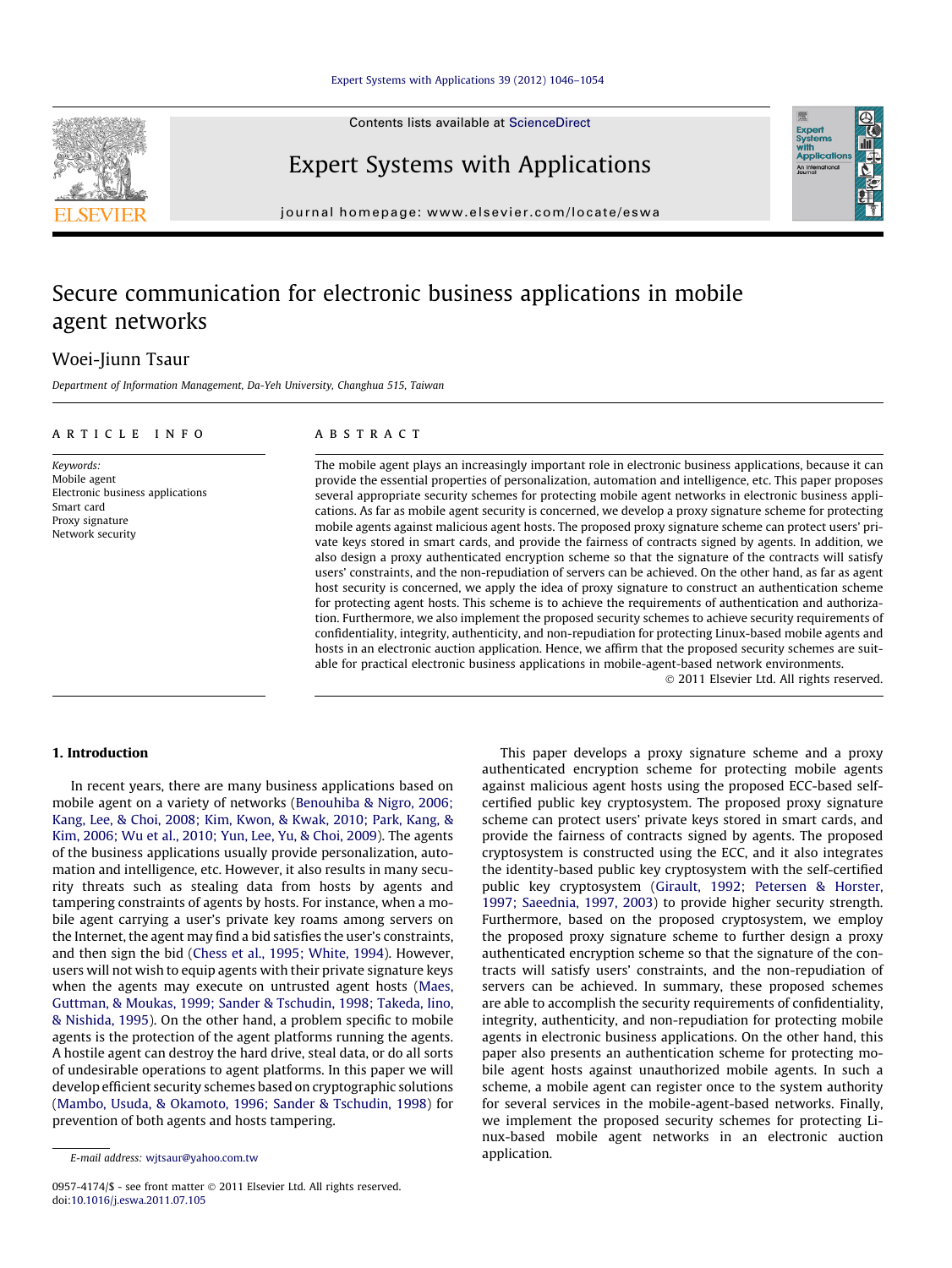Contents lists available at [ScienceDirect](http://www.sciencedirect.com/science/journal/09574174)

Expert Systems with Applications

journal homepage: [www.elsevier.com/locate/eswa](http://www.elsevier.com/locate/eswa)

## Secure communication for electronic business applications in mobile agent networks

### Woei-Jiunn Tsaur

Department of Information Management, Da-Yeh University, Changhua 515, Taiwan

#### article info

Keywords: Mobile agent Electronic business applications Smart card Proxy signature Network security

#### **ABSTRACT**

The mobile agent plays an increasingly important role in electronic business applications, because it can provide the essential properties of personalization, automation and intelligence, etc. This paper proposes several appropriate security schemes for protecting mobile agent networks in electronic business applications. As far as mobile agent security is concerned, we develop a proxy signature scheme for protecting mobile agents against malicious agent hosts. The proposed proxy signature scheme can protect users' private keys stored in smart cards, and provide the fairness of contracts signed by agents. In addition, we also design a proxy authenticated encryption scheme so that the signature of the contracts will satisfy users' constraints, and the non-repudiation of servers can be achieved. On the other hand, as far as agent host security is concerned, we apply the idea of proxy signature to construct an authentication scheme for protecting agent hosts. This scheme is to achieve the requirements of authentication and authorization. Furthermore, we also implement the proposed security schemes to achieve security requirements of confidentiality, integrity, authenticity, and non-repudiation for protecting Linux-based mobile agents and hosts in an electronic auction application. Hence, we affirm that the proposed security schemes are suitable for practical electronic business applications in mobile-agent-based network environments.

- 2011 Elsevier Ltd. All rights reserved.

#### 1. Introduction

In recent years, there are many business applications based on mobile agent on a variety of networks [\(Benouhiba & Nigro, 2006;](#page--1-0) [Kang, Lee, & Choi, 2008; Kim, Kwon, & Kwak, 2010; Park, Kang, &](#page--1-0) [Kim, 2006; Wu et al., 2010; Yun, Lee, Yu, & Choi, 2009\)](#page--1-0). The agents of the business applications usually provide personalization, automation and intelligence, etc. However, it also results in many security threats such as stealing data from hosts by agents and tampering constraints of agents by hosts. For instance, when a mobile agent carrying a user's private key roams among servers on the Internet, the agent may find a bid satisfies the user's constraints, and then sign the bid ([Chess et al., 1995; White, 1994](#page--1-0)). However, users will not wish to equip agents with their private signature keys when the agents may execute on untrusted agent hosts [\(Maes,](#page--1-0) [Guttman, & Moukas, 1999; Sander & Tschudin, 1998; Takeda, Iino,](#page--1-0) [& Nishida, 1995](#page--1-0)). On the other hand, a problem specific to mobile agents is the protection of the agent platforms running the agents. A hostile agent can destroy the hard drive, steal data, or do all sorts of undesirable operations to agent platforms. In this paper we will develop efficient security schemes based on cryptographic solutions ([Mambo, Usuda, & Okamoto, 1996; Sander & Tschudin, 1998](#page--1-0)) for prevention of both agents and hosts tampering.

This paper develops a proxy signature scheme and a proxy authenticated encryption scheme for protecting mobile agents against malicious agent hosts using the proposed ECC-based selfcertified public key cryptosystem. The proposed proxy signature scheme can protect users' private keys stored in smart cards, and provide the fairness of contracts signed by agents. The proposed cryptosystem is constructed using the ECC, and it also integrates the identity-based public key cryptosystem with the self-certified public key cryptosystem [\(Girault, 1992; Petersen & Horster,](#page--1-0) [1997; Saeednia, 1997, 2003\)](#page--1-0) to provide higher security strength. Furthermore, based on the proposed cryptosystem, we employ the proposed proxy signature scheme to further design a proxy authenticated encryption scheme so that the signature of the contracts will satisfy users' constraints, and the non-repudiation of servers can be achieved. In summary, these proposed schemes are able to accomplish the security requirements of confidentiality, integrity, authenticity, and non-repudiation for protecting mobile agents in electronic business applications. On the other hand, this paper also presents an authentication scheme for protecting mobile agent hosts against unauthorized mobile agents. In such a scheme, a mobile agent can register once to the system authority for several services in the mobile-agent-based networks. Finally, we implement the proposed security schemes for protecting Linux-based mobile agent networks in an electronic auction application.





E-mail address: [wjtsaur@yahoo.com.tw](mailto:wjtsaur@yahoo.com.tw)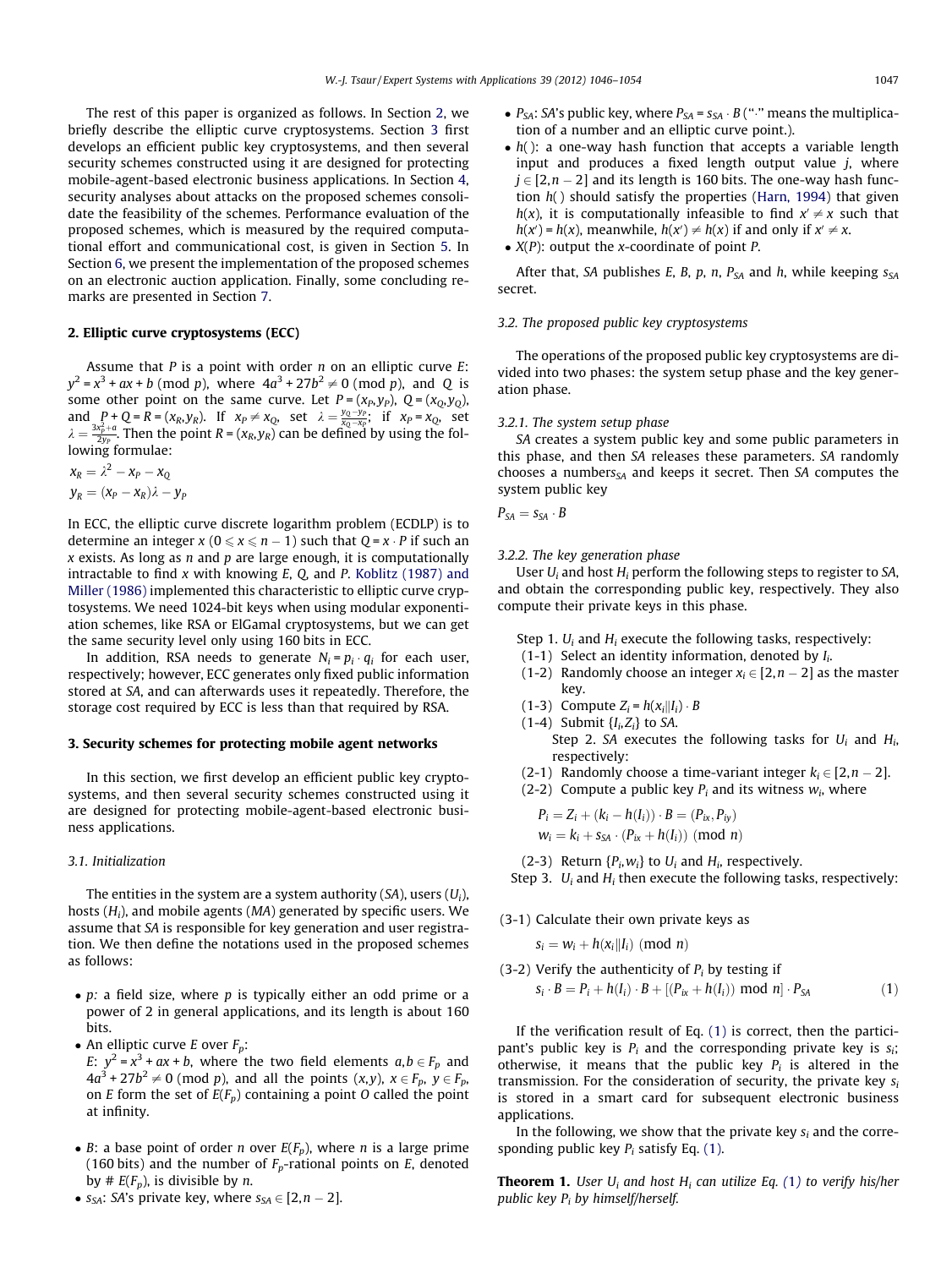The rest of this paper is organized as follows. In Section 2, we briefly describe the elliptic curve cryptosystems. Section 3 first develops an efficient public key cryptosystems, and then several security schemes constructed using it are designed for protecting mobile-agent-based electronic business applications. In Section [4,](#page--1-0) security analyses about attacks on the proposed schemes consolidate the feasibility of the schemes. Performance evaluation of the proposed schemes, which is measured by the required computational effort and communicational cost, is given in Section [5.](#page--1-0) In Section [6,](#page--1-0) we present the implementation of the proposed schemes on an electronic auction application. Finally, some concluding remarks are presented in Section [7](#page--1-0).

#### 2. Elliptic curve cryptosystems (ECC)

Assume that  $P$  is a point with order  $n$  on an elliptic curve  $E$ :  $y^2 = x^3 + ax + b \pmod{p}$ , where  $4a^3 + 27b^2 \neq 0 \pmod{p}$ , and Q is some other point on the same curve. Let  $P = (x_P, y_P)$ ,  $Q = (x_O, y_O)$ , and  $P + Q = R = (x_R, y_R)$ . If  $x_P \neq x_Q$ , set  $\lambda = \frac{y_Q - y_P}{x_Q - x_P}$ ; if  $x_P = x_Q$ , set  $\lambda = \frac{3x_P^2 + a}{2y_P}$ . Then the point  $R = (x_R, y_R)$  can be defined by using the following formulae:

 $\mathsf{x}_{\mathsf{R}} = \lambda^2 - \mathsf{x}_{\mathsf{P}} - \mathsf{x}_{\mathsf{Q}}$  $y_R = (x_P - x_R)\lambda - y_P$ 

In ECC, the elliptic curve discrete logarithm problem (ECDLP) is to determine an integer  $x (0 \le x \le n - 1)$  such that  $Q = x \cdot P$  if such an  $x$  exists. As long as  $n$  and  $p$  are large enough, it is computationally intractable to find  $x$  with knowing  $E$ ,  $Q$ , and  $P$ . [Koblitz \(1987\) and](#page--1-0) [Miller \(1986\)](#page--1-0) implemented this characteristic to elliptic curve cryptosystems. We need 1024-bit keys when using modular exponentiation schemes, like RSA or ElGamal cryptosystems, but we can get the same security level only using 160 bits in ECC.

In addition, RSA needs to generate  $N_i = p_i \cdot q_i$  for each user, respectively; however, ECC generates only fixed public information stored at SA, and can afterwards uses it repeatedly. Therefore, the storage cost required by ECC is less than that required by RSA.

#### 3. Security schemes for protecting mobile agent networks

In this section, we first develop an efficient public key cryptosystems, and then several security schemes constructed using it are designed for protecting mobile-agent-based electronic business applications.

#### 3.1. Initialization

The entities in the system are a system authority  $(SA)$ , users  $(U<sub>i</sub>)$ , hosts  $(H_i)$ , and mobile agents  $(MA)$  generated by specific users. We assume that SA is responsible for key generation and user registration. We then define the notations used in the proposed schemes as follows:

- $\bullet$  p: a field size, where p is typically either an odd prime or a power of 2 in general applications, and its length is about 160 bits.
- An elliptic curve *E* over  $F_p$ :

E:  $y^2 = x^3 + ax + b$ , where the two field elements  $a, b \in F_p$  and  $4a^3 + 27b^2 \neq 0$  (mod p), and all the points  $(x,y)$ ,  $x \in F_p$ ,  $y \in F_p$ , on E form the set of  $E(F_p)$  containing a point O called the point at infinity.

- B: a base point of order *n* over  $E(F_p)$ , where *n* is a large prime (160 bits) and the number of  $F_p$ -rational points on E, denoted by #  $E(F_p)$ , is divisible by *n*.
- $s_{SA}$ : SA's private key, where  $s_{SA} \in [2, n 2]$ .
- $P_{SA}$ : SA's public key, where  $P_{SA}$  =  $S_{SA}$   $\cdot$  B (" $\cdot$ " means the multiplication of a number and an elliptic curve point.).
- $\bullet$  h(): a one-way hash function that accepts a variable length input and produces a fixed length output value  $i$ , where  $j \in [2,n-2]$  and its length is 160 bits. The one-way hash function  $h()$  should satisfy the properties ([Harn, 1994\)](#page--1-0) that given  $h(x)$ , it is computationally infeasible to find  $x' \neq x$  such that  $h(x') = h(x)$ , meanwhile,  $h(x') \neq h(x)$  if and only if  $x' \neq x$ .
- $\bullet$  *X(P)*: output the *x*-coordinate of point *P*.

After that, SA publishes E, B, p, n,  $P_{SA}$  and h, while keeping  $s_{SA}$ secret.

#### 3.2. The proposed public key cryptosystems

The operations of the proposed public key cryptosystems are divided into two phases: the system setup phase and the key generation phase.

#### 3.2.1. The system setup phase

SA creates a system public key and some public parameters in this phase, and then SA releases these parameters. SA randomly chooses a numbers $<sub>SA</sub>$  and keeps it secret. Then SA computes the</sub> system public key

$$
P_{SA}=s_{SA}\cdot B
$$

#### 3.2.2. The key generation phase

User  $U_i$  and host  $H_i$  perform the following steps to register to SA, and obtain the corresponding public key, respectively. They also compute their private keys in this phase.

- Step 1.  $U_i$  and  $H_i$  execute the following tasks, respectively:
- (1-1) Select an identity information, denoted by  $I_i$ .
- (1-2) Randomly choose an integer  $x_i \in [2, n 2]$  as the master key.
- (1-3) Compute  $Z_i = h(x_i||I_i) \cdot B$
- $(1-4)$  Submit  $\{I_i, Z_i\}$  to SA.
	- Step 2. SA executes the following tasks for  $U_i$  and  $H_i$ , respectively:
- (2-1) Randomly choose a time-variant integer  $k_i \in [2, n 2]$ .
- (2-2) Compute a public key  $P_i$  and its witness  $w_i$ , where

$$
P_i = Z_i + (k_i - h(I_i)) \cdot B = (P_{ix}, P_{iy})
$$
  

$$
w_i = k_i + s_{SA} \cdot (P_{ix} + h(I_i)) \pmod{n}
$$

(2-3) Return  $\{P_i, w_i\}$  to  $U_i$  and  $H_i$ , respectively.

Step 3.  $U_i$  and  $H_i$  then execute the following tasks, respectively:

(3-1) Calculate their own private keys as

$$
s_i = w_i + h(x_i || I_i) \pmod{n}
$$

(3-2) Verify the authenticity of 
$$
P_i
$$
 by testing if  
\n
$$
s_i \cdot B = P_i + h(I_i) \cdot B + [(P_{ix} + h(I_i)) \text{ mod } n] \cdot P_{SA}
$$
\n(1)

If the verification result of Eq. (1) is correct, then the participant's public key is  $P_i$  and the corresponding private key is  $s_i$ ; otherwise, it means that the public key  $P_i$  is altered in the transmission. For the consideration of security, the private key  $s_i$ is stored in a smart card for subsequent electronic business applications.

In the following, we show that the private key  $s_i$  and the corresponding public key  $P_i$  satisfy Eq. (1).

**Theorem 1.** User  $U_i$  and host  $H_i$  can utilize Eq. (1) to verify his/her public key  $P_i$  by himself/herself.